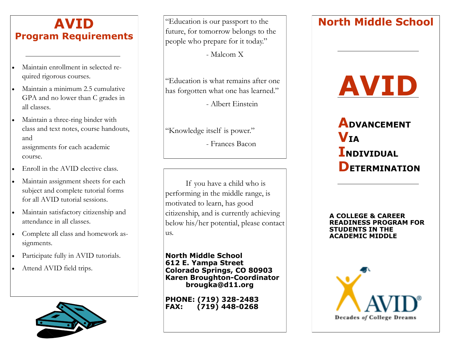#### **AVID Program Requirements**

- Maintain enrollment in selected required rigorous courses.
- Maintain a minimum 2.5 cumulative GPA and no lower than C grades in all classes.
- Maintain a three-ring binder with class and text notes, course handouts, and assignments for each academic course.
- Enroll in the AVID elective class.
- Maintain assignment sheets for each subject and complete tutorial forms for all AVID tutorial sessions.
- Maintain satisfactory citizenship and attendance in all classes.
- Complete all class and homework assignments.
- Participate fully in AVID tutorials.
- Attend AVID field trips.



future, for tomorrow belongs to the people who prepare for it today."

- Malcom X

"Education is what remains after one has forgotten what one has learned."

- Albert Einstein

"Knowledge itself is power."

- Frances Bacon

If you have a child who is performing in the middle range, is motivated to learn, has good citizenship, and is currently achieving below his/her potential, please contact us.

**North Middle School 612 E. Yampa Street Colorado Springs, CO 80903 Karen Broughton-Coordinator brougka@d11.org**

**PHONE: (719) 328-2483 FAX: (719) 448-0268**

#### **North Middle School** "Education is our passport to the

# **AVID**

 **ADVANCEMENT VIA INDIVIDUAL DETERMINATION**

**A COLLEGE & CAREER READINESS PROGRAM FOR STUDENTS IN THE ACADEMIC MIDDLE**